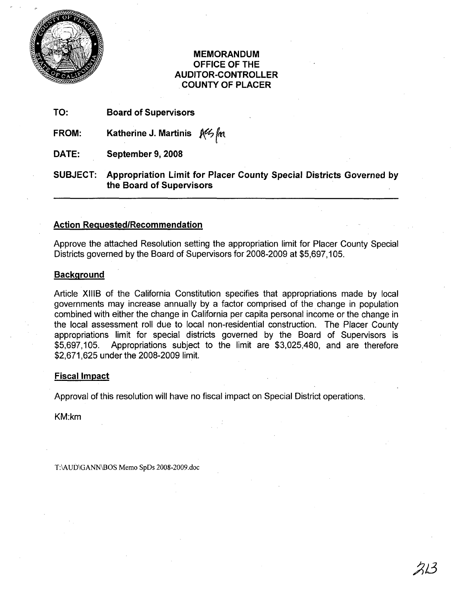

### MEMORANDUM OFFICE OF THE AUDITOR-CONTROLLER .COUNTY OF PLACER

TO: Board of Supervisors

FROM: Katherine J. Martinis  $N$ <sup>th</sup> $\sqrt{k}$ 

DATE: September 9, 2008

SUBJECT: Appropriation Limit for Placer County Special Districts Governed by the Board of Supervisors

### Action Requested/Recommendation

Approve the attached Resolution setting the appropriation limit for Placer County Special Districts governed by the Board of Supervisors for 2008-2009 at \$5,697,105.

#### **Background**

Article XIIIB of the California Constitution specifies that appropriations made by local governments may increase annually by a factor comprised of the. change in population combined with either the change in California per capita personal income or the change in the local assessment roll due to local non-residential construction. The Placer County appropriations limit for special districts governed by the Board of Supervisors is \$5,697,105. Appropriations subject to the limit are \$3,025,480, and are therefore. \$2,671,625 under the 2008-2009 limit.

### Fiscal Impact

Approval of this resolution will have no fiscal impact on Special District operations.

KM:km

T:\AUD\GANN\BOS Memo SpDs 2008-2009.doc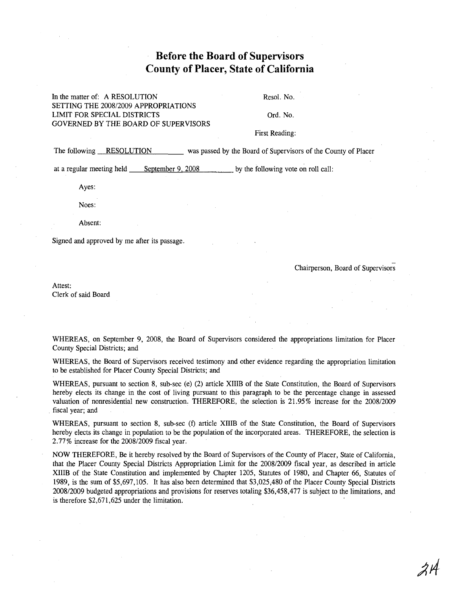## **Before the Board of Supervisors County of Placer, State of California**

#### **In** the matter of: A RESOLUTION SETTING THE 2008/2009 APPROPRIATIONS LIMIT FOR SPECIAL DISTRICTS GOVERNED BY THE BOARD OF SUPERVISORS

Resoi. No.

Ord. No.

First Reading:

The following <u>RESOLUTION</u> was passed by the Board of Supervisors of the County of Placer

at a regular meeting held September 9, 2008 by the following vote on roll call:

Ayes:

Noes:

Absent:

Signed and approved by me after its passage.

Chairperson, Board of Supervisors

Attest: Clerk of said Board

WHEREAS, on September 9, 2008, the Board of Supervisors considered the appropriations limitation for Placer County Special Districts; and

WHEREAS, the Board of Supervisors received testimony and other evidence regarding the appropriation limitation to be established for Placer County Special Districts; and

WHEREAS, pursuant to section 8, sub-sec (e) (2) article XIIIB of the State Constitution, the Board of Supervisors hereby elects its change in the cost of living pursuant to this paragraph to be the percentage change in assessed valuation of nonresidential new construction. THEREFORE, the selection is 21.95% increase for the 2008/2009 fiscal year; and

WHEREAS, pursuant to section 8, sub-sec (f) article XIIIB of the State Constitution, the Board of Supervisors hereby elects its change in population to be the population of the incorporated areas. THEREFORE, the selection is 2.77% increase for the 200812009 fiscal year.

NOW THEREFORE, Be it hereby resolved by the Board of Supervisors of the County of Placer, State of California, that the Placer County Special Districts Appropriation Limit for the 200812009 fiscal year, as described in article XIIIB of the State Constitution and implemented by Chapter 1205, Statutes of 1980, and Chapter 66, Statutes of 1989, is the sum of \$5,697,105. It has also been determined that \$3,025,480 of the Placer County Special Districts 200812009 budgeted appropriations and provisions for reserves totaling \$36,458,477 is subject to the limitations, and is therefore \$2,671,625 under the limitation.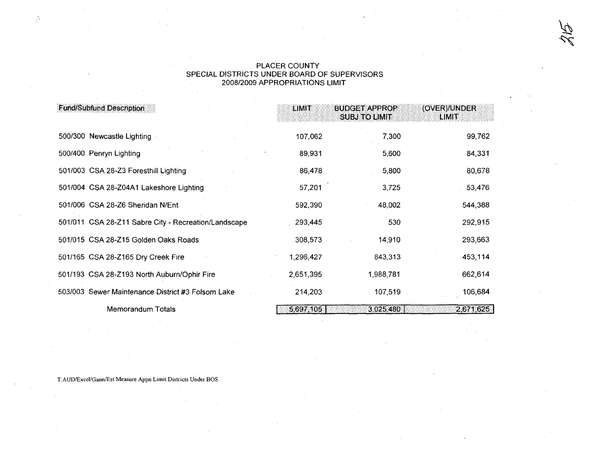# PLACER COUNTY<br>SPECIAL DISTRICTS UNDER BOARD OF SUPERVISORS<br>2008/2009 APPROPRIATIONS LIMIT

| <b>Fund/Subfund Description</b> |                                                      | LIMIT<br><b>BUDGET APPROP</b><br>(OVER)/UNDER<br><b>SUBJ TO LIMIT</b><br><b>EIMIT</b> |           |           |
|---------------------------------|------------------------------------------------------|---------------------------------------------------------------------------------------|-----------|-----------|
|                                 | 500/300 Newcastle Lighting                           | 107,062                                                                               | 7,300     | 99,762    |
|                                 | 500/400 Penryn Lighting                              | 89,931                                                                                | 5,600     | 84,331    |
|                                 | 501/003 CSA 28-Z3 Foresthill Lighting                | 86,478                                                                                | 5,800     | 80,678    |
|                                 | 501/004 CSA 28-Z04A1 Lakeshore Lighting              | 57,201                                                                                | 3,725     | 53,476    |
|                                 | 501/006 CSA 28-Z6 Sheridan N/Ent                     | 592,390                                                                               | 48,002    | 544,388   |
|                                 | 501/011 CSA 28-Z11 Sabre City - Recreation/Landscape | 293,445                                                                               | 530       | 292,915   |
|                                 | 501/015 CSA 28-Z15 Golden Oaks Roads                 | 308,573                                                                               | 14,910    | 293,663   |
|                                 | 501/165 CSA 28-Z165 Dry Creek Fire                   | 1,296,427                                                                             | 843,313   | 453,114   |
|                                 | 501/193 CSA 28-Z193 North Auburn/Ophir Fire          | 2,651,395                                                                             | 1,988,781 | 662,614   |
|                                 | 503/003 Sewer Maintenance District #3 Folsom Lake    | 214,203                                                                               | 107,519   | 106,684   |
| Memorandum Totals               |                                                      | 5,697,105                                                                             | 3.025.480 | 2,671,625 |

T:AUD/Excel/Gann/Est Measure Appn Limit Districts Under BOS

 $\frac{1}{l}$